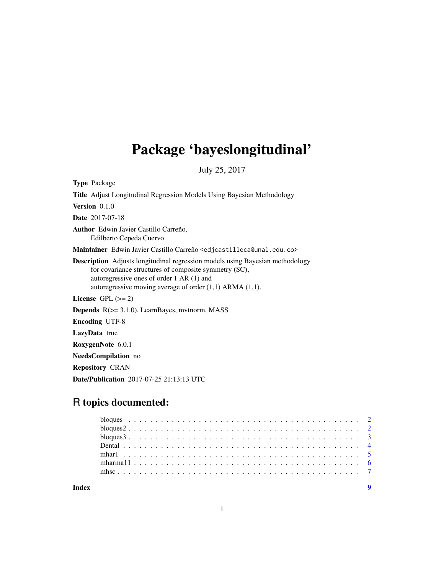## Package 'bayeslongitudinal'

July 25, 2017

Type Package Title Adjust Longitudinal Regression Models Using Bayesian Methodology Version 0.1.0 Date 2017-07-18 Author Edwin Javier Castillo Carreño, Edilberto Cepeda Cuervo Maintainer Edwin Javier Castillo Carreño <edjcastilloca@unal.edu.co> Description Adjusts longitudinal regression models using Bayesian methodology for covariance structures of composite symmetry (SC), autoregressive ones of order 1 AR (1) and autoregressive moving average of order (1,1) ARMA (1,1). License GPL  $(>= 2)$ Depends R(>= 3.1.0), LearnBayes, mvtnorm, MASS Encoding UTF-8 LazyData true RoxygenNote 6.0.1 NeedsCompilation no

Repository CRAN

Date/Publication 2017-07-25 21:13:13 UTC

### R topics documented:

**Index** [9](#page-8-0)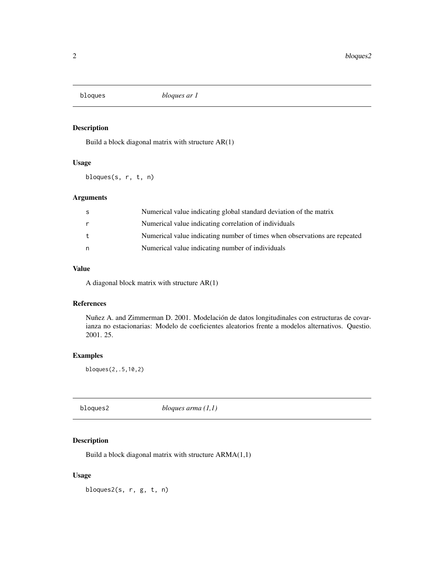<span id="page-1-0"></span>

#### Description

Build a block diagonal matrix with structure AR(1)

#### Usage

bloques(s, r, t, n)

#### Arguments

| -S | Numerical value indicating global standard deviation of the matrix        |
|----|---------------------------------------------------------------------------|
| r  | Numerical value indicating correlation of individuals                     |
| t  | Numerical value indicating number of times when observations are repeated |
| n  | Numerical value indicating number of individuals                          |

#### Value

A diagonal block matrix with structure AR(1)

#### References

Nuñez A. and Zimmerman D. 2001. Modelación de datos longitudinales con estructuras de covarianza no estacionarias: Modelo de coeficientes aleatorios frente a modelos alternativos. Questio. 2001. 25.

#### Examples

bloques(2,.5,10,2)

bloques2 *bloques arma (1,1)*

#### Description

Build a block diagonal matrix with structure ARMA(1,1)

#### Usage

bloques2(s, r, g, t, n)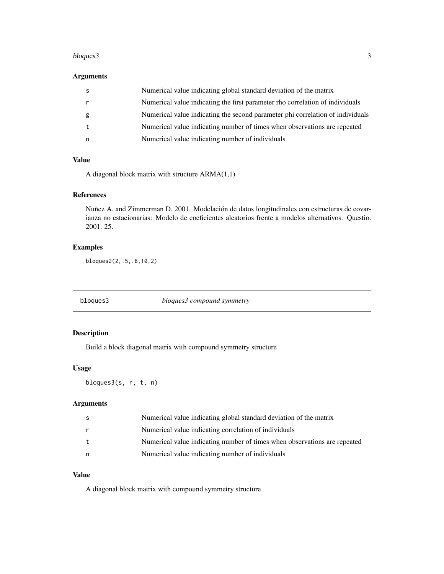#### <span id="page-2-0"></span>bloques3 3

#### Arguments

|   | Numerical value indicating global standard deviation of the matrix             |
|---|--------------------------------------------------------------------------------|
|   | Numerical value indicating the first parameter rho correlation of individuals  |
| g | Numerical value indicating the second parameter phi correlation of individuals |
|   | Numerical value indicating number of times when observations are repeated      |
|   | Numerical value indicating number of individuals                               |

#### Value

A diagonal block matrix with structure ARMA(1,1)

#### References

Nuñez A. and Zimmerman D. 2001. Modelación de datos longitudinales con estructuras de covarianza no estacionarias: Modelo de coeficientes aleatorios frente a modelos alternativos. Questio. 2001. 25.

#### Examples

bloques2(2,.5,.8,10,2)

bloques3 *bloques3 compound symmetry*

#### Description

Build a block diagonal matrix with compound symmetry structure

#### Usage

bloques3(s, r, t, n)

#### Arguments

| S | Numerical value indicating global standard deviation of the matrix        |
|---|---------------------------------------------------------------------------|
|   | Numerical value indicating correlation of individuals                     |
|   | Numerical value indicating number of times when observations are repeated |
| n | Numerical value indicating number of individuals                          |

#### Value

A diagonal block matrix with compound symmetry structure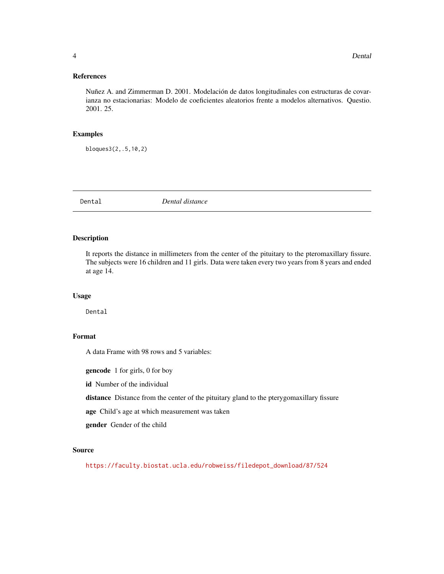#### <span id="page-3-0"></span>References

Nuñez A. and Zimmerman D. 2001. Modelación de datos longitudinales con estructuras de covarianza no estacionarias: Modelo de coeficientes aleatorios frente a modelos alternativos. Questio. 2001. 25.

#### Examples

bloques3(2,.5,10,2)

Dental *Dental distance*

#### Description

It reports the distance in millimeters from the center of the pituitary to the pteromaxillary fissure. The subjects were 16 children and 11 girls. Data were taken every two years from 8 years and ended at age 14.

#### Usage

Dental

#### Format

A data Frame with 98 rows and 5 variables:

gencode 1 for girls, 0 for boy

id Number of the individual

distance Distance from the center of the pituitary gland to the pterygomaxillary fissure

age Child's age at which measurement was taken

gender Gender of the child

#### Source

[https://faculty.biostat.ucla.edu/robweiss/filedepot\\_download/87/524](https://faculty.biostat.ucla.edu/robweiss/filedepot_download/87/524)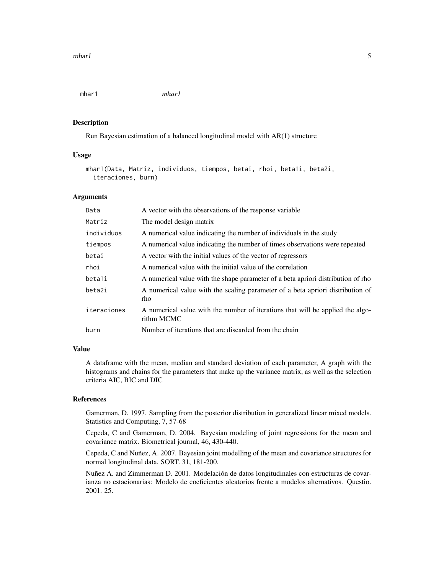<span id="page-4-0"></span>mhar1 *mhar1*

#### Description

Run Bayesian estimation of a balanced longitudinal model with AR(1) structure

#### Usage

```
mhar1(Data, Matriz, individuos, tiempos, betai, rhoi, beta1i, beta2i,
  iteraciones, burn)
```
#### Arguments

| Data        | A vector with the observations of the response variable                                      |
|-------------|----------------------------------------------------------------------------------------------|
| Matriz      | The model design matrix                                                                      |
| individuos  | A numerical value indicating the number of individuals in the study                          |
| tiempos     | A numerical value indicating the number of times observations were repeated                  |
| betai       | A vector with the initial values of the vector of regressors                                 |
| rhoi        | A numerical value with the initial value of the correlation                                  |
| betali      | A numerical value with the shape parameter of a beta apriori distribution of rho             |
| beta2i      | A numerical value with the scaling parameter of a beta apriori distribution of<br>rho        |
| iteraciones | A numerical value with the number of iterations that will be applied the algo-<br>rithm MCMC |
| burn        | Number of iterations that are discarded from the chain                                       |

#### Value

A dataframe with the mean, median and standard deviation of each parameter, A graph with the histograms and chains for the parameters that make up the variance matrix, as well as the selection criteria AIC, BIC and DIC

#### References

Gamerman, D. 1997. Sampling from the posterior distribution in generalized linear mixed models. Statistics and Computing, 7, 57-68

Cepeda, C and Gamerman, D. 2004. Bayesian modeling of joint regressions for the mean and covariance matrix. Biometrical journal, 46, 430-440.

Cepeda, C and Nuñez, A. 2007. Bayesian joint modelling of the mean and covariance structures for normal longitudinal data. SORT. 31, 181-200.

Nuñez A. and Zimmerman D. 2001. Modelación de datos longitudinales con estructuras de covarianza no estacionarias: Modelo de coeficientes aleatorios frente a modelos alternativos. Questio. 2001. 25.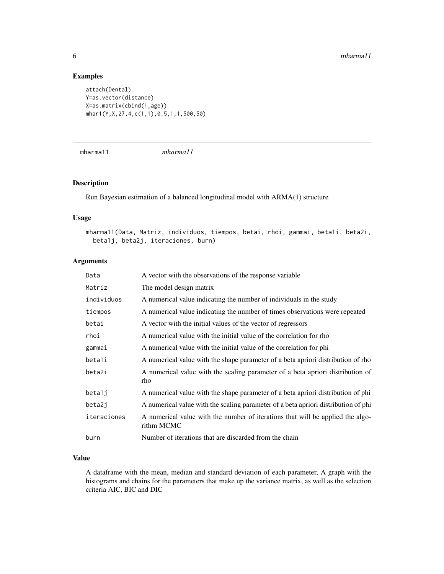#### Examples

```
attach(Dental)
Y=as.vector(distance)
X=as.matrix(cbind(1,age))
mhar1(Y,X,27,4,c(1,1),0.5,1,1,500,50)
```
mharma11 *mharma11*

#### Description

Run Bayesian estimation of a balanced longitudinal model with ARMA(1) structure

#### Usage

```
mharma11(Data, Matriz, individuos, tiempos, betai, rhoi, gammai, beta1i, beta2i,
 beta1j, beta2j, iteraciones, burn)
```
#### Arguments

| Data        | A vector with the observations of the response variable                                      |
|-------------|----------------------------------------------------------------------------------------------|
| Matriz      | The model design matrix                                                                      |
| individuos  | A numerical value indicating the number of individuals in the study                          |
| tiempos     | A numerical value indicating the number of times observations were repeated                  |
| betai       | A vector with the initial values of the vector of regressors                                 |
| rhoi        | A numerical value with the initial value of the correlation for rho                          |
| gammai      | A numerical value with the initial value of the correlation for phi                          |
| betali      | A numerical value with the shape parameter of a beta apriori distribution of rho             |
| beta2i      | A numerical value with the scaling parameter of a beta apriori distribution of<br>rho        |
| beta1j      | A numerical value with the shape parameter of a beta apriori distribution of phi             |
| beta2j      | A numerical value with the scaling parameter of a beta apriori distribution of phi           |
| iteraciones | A numerical value with the number of iterations that will be applied the algo-<br>rithm MCMC |
| burn        | Number of iterations that are discarded from the chain                                       |

#### Value

A dataframe with the mean, median and standard deviation of each parameter, A graph with the histograms and chains for the parameters that make up the variance matrix, as well as the selection criteria AIC, BIC and DIC

<span id="page-5-0"></span>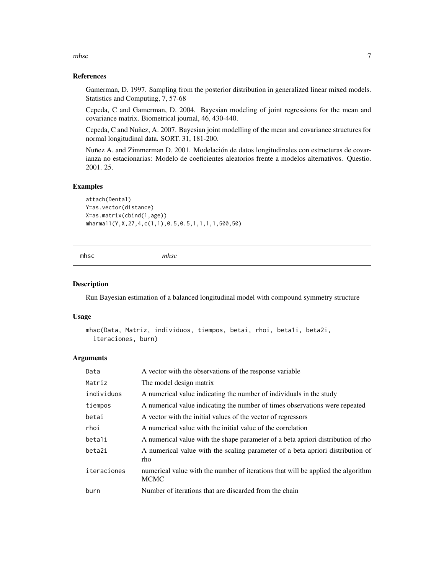<span id="page-6-0"></span>mhsc 7

#### References

Gamerman, D. 1997. Sampling from the posterior distribution in generalized linear mixed models. Statistics and Computing, 7, 57-68

Cepeda, C and Gamerman, D. 2004. Bayesian modeling of joint regressions for the mean and covariance matrix. Biometrical journal, 46, 430-440.

Cepeda, C and Nuñez, A. 2007. Bayesian joint modelling of the mean and covariance structures for normal longitudinal data. SORT. 31, 181-200.

Nuñez A. and Zimmerman D. 2001. Modelación de datos longitudinales con estructuras de covarianza no estacionarias: Modelo de coeficientes aleatorios frente a modelos alternativos. Questio. 2001. 25.

#### Examples

attach(Dental) Y=as.vector(distance) X=as.matrix(cbind(1,age)) mharma11(Y,X,27,4,c(1,1),0.5,0.5,1,1,1,1,500,50)

mhsc *mhsc*

#### Description

Run Bayesian estimation of a balanced longitudinal model with compound symmetry structure

#### Usage

```
mhsc(Data, Matriz, individuos, tiempos, betai, rhoi, beta1i, beta2i,
  iteraciones, burn)
```
#### Arguments

| Data        | A vector with the observations of the response variable                                         |
|-------------|-------------------------------------------------------------------------------------------------|
| Matriz      | The model design matrix                                                                         |
| individuos  | A numerical value indicating the number of individuals in the study                             |
| tiempos     | A numerical value indicating the number of times observations were repeated                     |
| betai       | A vector with the initial values of the vector of regressors                                    |
| rhoi        | A numerical value with the initial value of the correlation                                     |
| betali      | A numerical value with the shape parameter of a beta apriori distribution of rho                |
| beta2i      | A numerical value with the scaling parameter of a beta apriori distribution of<br>rho           |
| iteraciones | numerical value with the number of iterations that will be applied the algorithm<br><b>MCMC</b> |
| burn        | Number of iterations that are discarded from the chain                                          |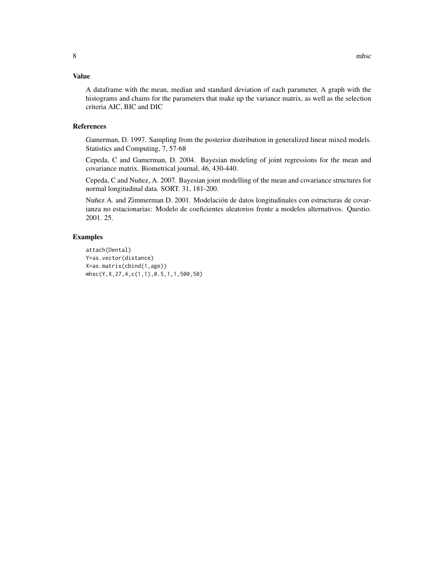#### Value

A dataframe with the mean, median and standard deviation of each parameter, A graph with the histograms and chains for the parameters that make up the variance matrix, as well as the selection criteria AIC, BIC and DIC

#### References

Gamerman, D. 1997. Sampling from the posterior distribution in generalized linear mixed models. Statistics and Computing, 7, 57-68

Cepeda, C and Gamerman, D. 2004. Bayesian modeling of joint regressions for the mean and covariance matrix. Biometrical journal, 46, 430-440.

Cepeda, C and Nuñez, A. 2007. Bayesian joint modelling of the mean and covariance structures for normal longitudinal data. SORT. 31, 181-200.

Nuñez A. and Zimmerman D. 2001. Modelación de datos longitudinales con estructuras de covarianza no estacionarias: Modelo de coeficientes aleatorios frente a modelos alternativos. Questio. 2001. 25.

#### Examples

```
attach(Dental)
Y=as.vector(distance)
X=as.matrix(cbind(1,age))
mhsc(Y,X,27,4,c(1,1),0.5,1,1,500,50)
```